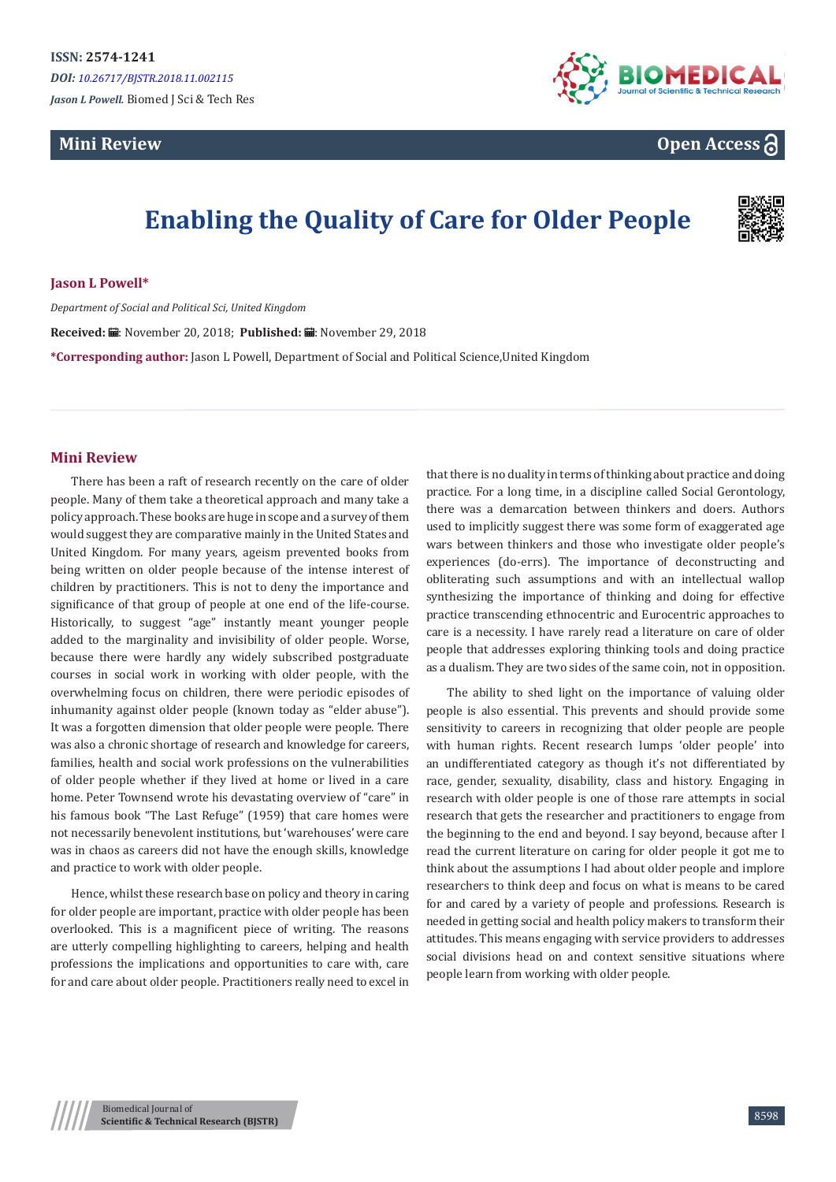## **Mini Review**



## **Open Access**

# **Enabling the Quality of Care for Older People**



**Jason L Powell\***

*Department of Social and Political Sci, United Kingdom*

Received: H.: November 20, 2018; Published: H.: November 29, 2018

**\*Corresponding author:** Jason L Powell, Department of Social and Political Science,United Kingdom

### **Mini Review**

There has been a raft of research recently on the care of older people. Many of them take a theoretical approach and many take a policy approach. These books are huge in scope and a survey of them would suggest they are comparative mainly in the United States and United Kingdom. For many years, ageism prevented books from being written on older people because of the intense interest of children by practitioners. This is not to deny the importance and significance of that group of people at one end of the life-course. Historically, to suggest "age" instantly meant younger people added to the marginality and invisibility of older people. Worse, because there were hardly any widely subscribed postgraduate courses in social work in working with older people, with the overwhelming focus on children, there were periodic episodes of inhumanity against older people (known today as "elder abuse"). It was a forgotten dimension that older people were people. There was also a chronic shortage of research and knowledge for careers, families, health and social work professions on the vulnerabilities of older people whether if they lived at home or lived in a care home. Peter Townsend wrote his devastating overview of "care" in his famous book "The Last Refuge" (1959) that care homes were not necessarily benevolent institutions, but 'warehouses' were care was in chaos as careers did not have the enough skills, knowledge and practice to work with older people.

Hence, whilst these research base on policy and theory in caring for older people are important, practice with older people has been overlooked. This is a magnificent piece of writing. The reasons are utterly compelling highlighting to careers, helping and health professions the implications and opportunities to care with, care for and care about older people. Practitioners really need to excel in

that there is no duality in terms of thinking about practice and doing practice. For a long time, in a discipline called Social Gerontology, there was a demarcation between thinkers and doers. Authors used to implicitly suggest there was some form of exaggerated age wars between thinkers and those who investigate older people's experiences (do-errs). The importance of deconstructing and obliterating such assumptions and with an intellectual wallop synthesizing the importance of thinking and doing for effective practice transcending ethnocentric and Eurocentric approaches to care is a necessity. I have rarely read a literature on care of older people that addresses exploring thinking tools and doing practice as a dualism. They are two sides of the same coin, not in opposition.

The ability to shed light on the importance of valuing older people is also essential. This prevents and should provide some sensitivity to careers in recognizing that older people are people with human rights. Recent research lumps 'older people' into an undifferentiated category as though it's not differentiated by race, gender, sexuality, disability, class and history. Engaging in research with older people is one of those rare attempts in social research that gets the researcher and practitioners to engage from the beginning to the end and beyond. I say beyond, because after I read the current literature on caring for older people it got me to think about the assumptions I had about older people and implore researchers to think deep and focus on what is means to be cared for and cared by a variety of people and professions. Research is needed in getting social and health policy makers to transform their attitudes. This means engaging with service providers to addresses social divisions head on and context sensitive situations where people learn from working with older people.